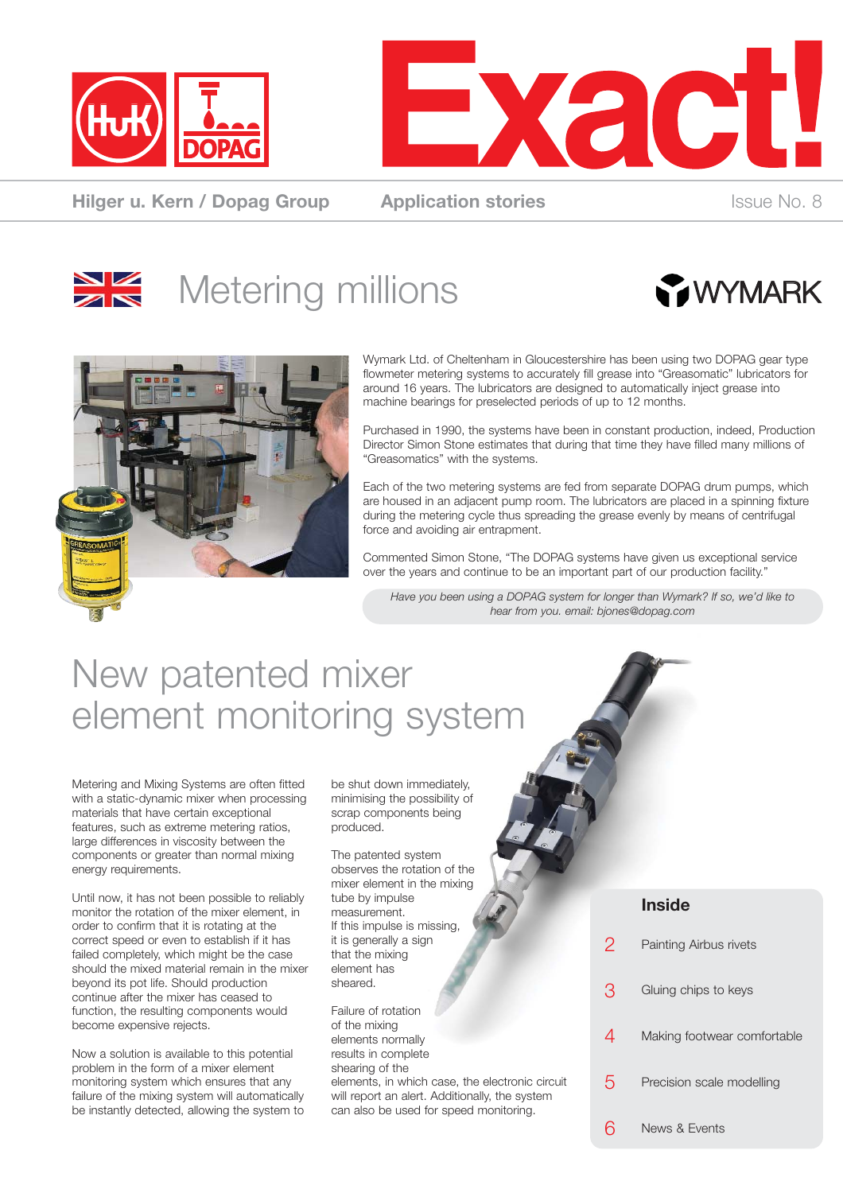



**Hilger u. Kern / Dopag Group Application stories ISSUE No. 8** ISSUE No. 8







Wymark Ltd. of Cheltenham in Gloucestershire has been using two DOPAG gear type flowmeter metering systems to accurately fill grease into "Greasomatic" lubricators for around 16 years. The lubricators are designed to automatically inject grease into machine bearings for preselected periods of up to 12 months.

Purchased in 1990, the systems have been in constant production, indeed, Production Director Simon Stone estimates that during that time they have filled many millions of "Greasomatics" with the systems.

Each of the two metering systems are fed from separate DOPAG drum pumps, which are housed in an adjacent pump room. The lubricators are placed in a spinning fixture during the metering cycle thus spreading the grease evenly by means of centrifugal force and avoiding air entrapment.

Commented Simon Stone, "The DOPAG systems have given us exceptional service over the years and continue to be an important part of our production facility."

*Have you been using a DOPAG system for longer than Wymark? If so, we'd like to hear from you. email: bjones@dopag.com*

### New patented mixer element monitoring system

Metering and Mixing Systems are often fitted with a static-dynamic mixer when processing materials that have certain exceptional features, such as extreme metering ratios, large differences in viscosity between the components or greater than normal mixing energy requirements.

Until now, it has not been possible to reliably monitor the rotation of the mixer element, in order to confirm that it is rotating at the correct speed or even to establish if it has failed completely, which might be the case should the mixed material remain in the mixer beyond its pot life. Should production continue after the mixer has ceased to function, the resulting components would become expensive rejects.

Now a solution is available to this potential problem in the form of a mixer element monitoring system which ensures that any failure of the mixing system will automatically be instantly detected, allowing the system to be shut down immediately, minimising the possibility of scrap components being produced.

The patented system observes the rotation of the mixer element in the mixing tube by impulse measurement. If this impulse is missing, it is generally a sign that the mixing element has sheared.

Failure of rotation of the mixing elements normally results in complete shearing of the elements, in which case, the electronic circuit will report an alert. Additionally, the system can also be used for speed monitoring.

### **Inside**

| 2 | Painting Airbus rivets      |
|---|-----------------------------|
| З | Gluing chips to keys        |
| 4 | Making footwear comfortable |
| 5 | Precision scale modelling   |
|   | News & Events               |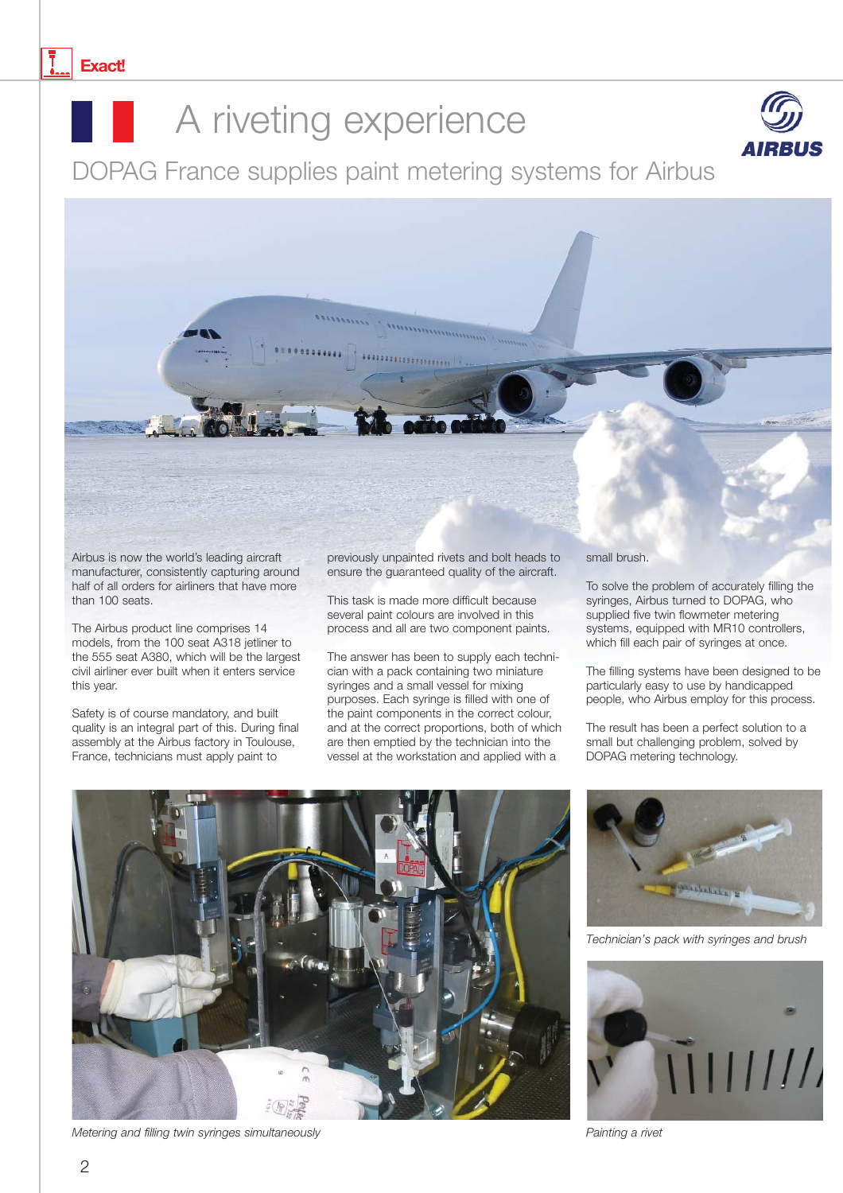

## A riveting experience



DOPAG France supplies paint metering systems for Airbus

Airbus is now the world's leading aircraft manufacturer, consistently capturing around half of all orders for airliners that have more than 100 seats.

The Airbus product line comprises 14 models, from the 100 seat A318 jetliner to the 555 seat A380, which will be the largest civil airliner ever built when it enters service this year.

Safety is of course mandatory, and built quality is an integral part of this. During final assembly at the Airbus factory in Toulouse, France, technicians must apply paint to

previously unpainted rivets and bolt heads to ensure the guaranteed quality of the aircraft.

This task is made more difficult because several paint colours are involved in this process and all are two component paints.

The answer has been to supply each technician with a pack containing two miniature syringes and a small vessel for mixing purposes. Each syringe is filled with one of the paint components in the correct colour, and at the correct proportions, both of which are then emptied by the technician into the vessel at the workstation and applied with a

small brush.

To solve the problem of accurately filling the syringes, Airbus turned to DOPAG, who supplied five twin flowmeter metering systems, equipped with MR10 controllers, which fill each pair of syringes at once.

The filling systems have been designed to be particularly easy to use by handicapped people, who Airbus employ for this process.

The result has been a perfect solution to a small but challenging problem, solved by DOPAG metering technology.



*Metering and filling twin syringes simultaneously Painting a rivet*



*Technician's pack with syringes and brush*

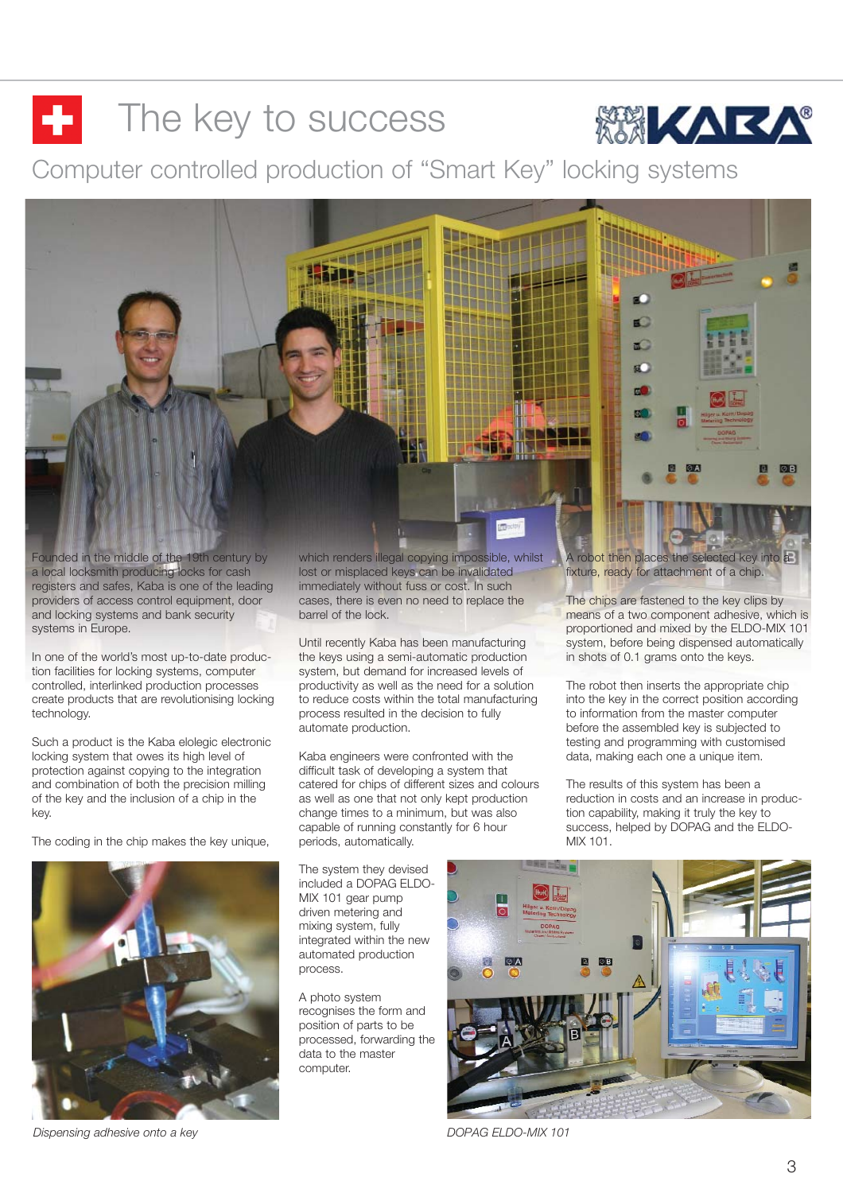# $\blacksquare$  The key to success

Computer controlled production of "Smart Key" locking systems



Founded in the middle of the 19th century by a local locksmith producing locks for cash registers and safes, Kaba is one of the leading providers of access control equipment, door and locking systems and bank security systems in Europe.

In one of the world's most up-to-date production facilities for locking systems, computer controlled, interlinked production processes create products that are revolutionising locking technology.

Such a product is the Kaba elolegic electronic locking system that owes its high level of protection against copying to the integration and combination of both the precision milling of the key and the inclusion of a chip in the key.

The coding in the chip makes the key unique,



which renders illegal copying impossible, whilst lost or misplaced keys can be invalidated immediately without fuss or cost. In such cases, there is even no need to replace the barrel of the lock.

Until recently Kaba has been manufacturing the keys using a semi-automatic production system, but demand for increased levels of productivity as well as the need for a solution to reduce costs within the total manufacturing process resulted in the decision to fully automate production.

Kaba engineers were confronted with the difficult task of developing a system that catered for chips of different sizes and colours as well as one that not only kept production change times to a minimum, but was also capable of running constantly for 6 hour periods, automatically.

The system they devised included a DOPAG ELDO-MIX 101 gear pump driven metering and mixing system, fully integrated within the new automated production process.

A photo system recognises the form and position of parts to be processed, forwarding the data to the master computer.

A robot then places the selected key into a fixture, ready for attachment of a chip.

**KARA** 

The chips are fastened to the key clips by means of a two component adhesive, which is proportioned and mixed by the ELDO-MIX 101 system, before being dispensed automatically in shots of 0.1 grams onto the keys.

The robot then inserts the appropriate chip into the key in the correct position according to information from the master computer before the assembled key is subjected to testing and programming with customised data, making each one a unique item.

The results of this system has been a reduction in costs and an increase in production capability, making it truly the key to success, helped by DOPAG and the ELDO-MIX 101.

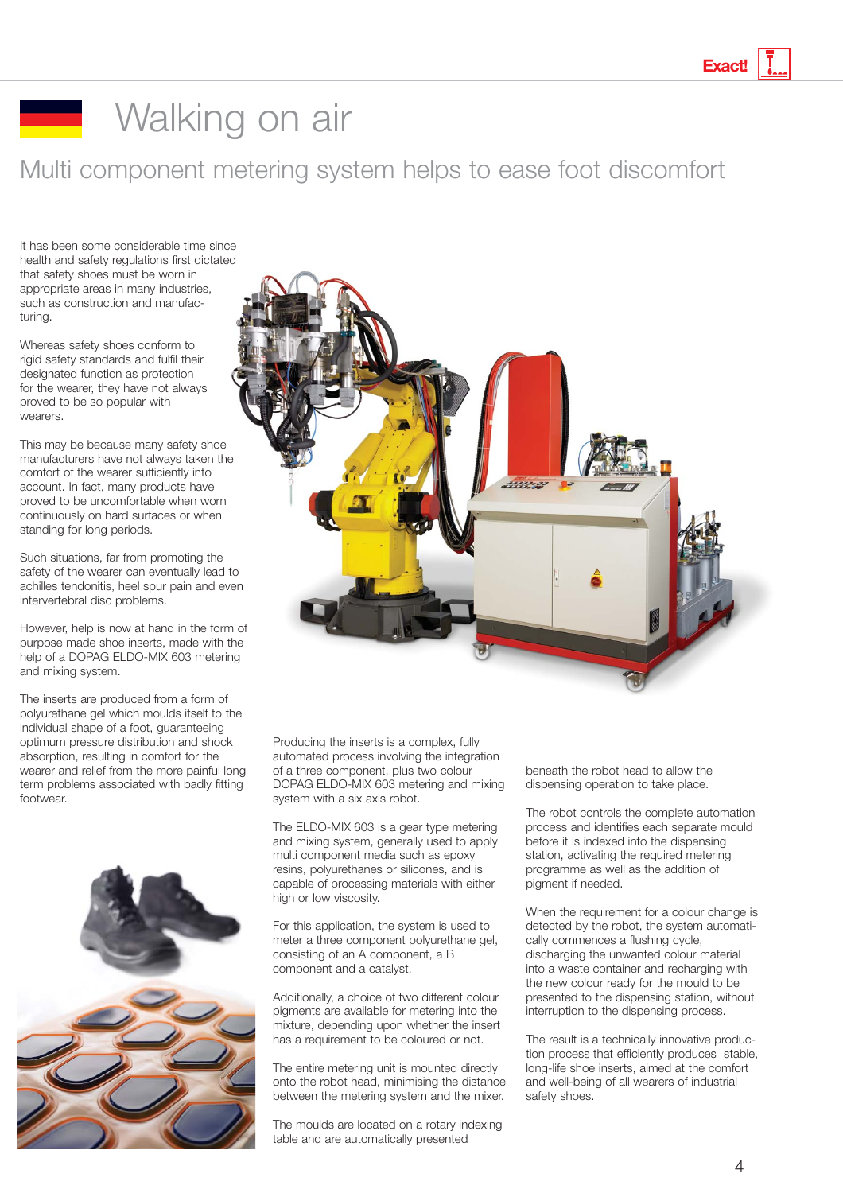**Exact!**

# **Walking on air**

Multi component metering system helps to ease foot discomfort

It has been some considerable time since health and safety regulations first dictated that safety shoes must be worn in appropriate areas in many industries, such as construction and manufacturing.

Whereas safety shoes conform to rigid safety standards and fulfil their designated function as protection for the wearer, they have not always proved to be so popular with wearers.

This may be because many safety shoe manufacturers have not always taken the comfort of the wearer sufficiently into account. In fact, many products have proved to be uncomfortable when worn continuously on hard surfaces or when standing for long periods.

Such situations, far from promoting the safety of the wearer can eventually lead to achilles tendonitis, heel spur pain and even intervertebral disc problems.

However, help is now at hand in the form of purpose made shoe inserts, made with the help of a DOPAG ELDO-MIX 603 metering and mixing system.

The inserts are produced from a form of polyurethane gel which moulds itself to the individual shape of a foot, guaranteeing optimum pressure distribution and shock absorption, resulting in comfort for the wearer and relief from the more painful long term problems associated with badly fitting footwear.





Producing the inserts is a complex, fully automated process involving the integration of a three component, plus two colour DOPAG ELDO-MIX 603 metering and mixing system with a six axis robot.

The ELDO-MIX 603 is a gear type metering and mixing system, generally used to apply multi component media such as epoxy resins, polyurethanes or silicones, and is capable of processing materials with either high or low viscosity.

For this application, the system is used to meter a three component polyurethane gel, consisting of an A component, a B component and a catalyst.

Additionally, a choice of two different colour pigments are available for metering into the mixture, depending upon whether the insert has a requirement to be coloured or not.

The entire metering unit is mounted directly onto the robot head, minimising the distance between the metering system and the mixer.

The moulds are located on a rotary indexing table and are automatically presented

beneath the robot head to allow the dispensing operation to take place.

The robot controls the complete automation process and identifies each separate mould before it is indexed into the dispensing station, activating the required metering programme as well as the addition of pigment if needed.

When the requirement for a colour change is detected by the robot, the system automatically commences a flushing cycle, discharging the unwanted colour material into a waste container and recharging with the new colour ready for the mould to be presented to the dispensing station, without interruption to the dispensing process.

The result is a technically innovative production process that efficiently produces stable, long-life shoe inserts, aimed at the comfort and well-being of all wearers of industrial safety shoes.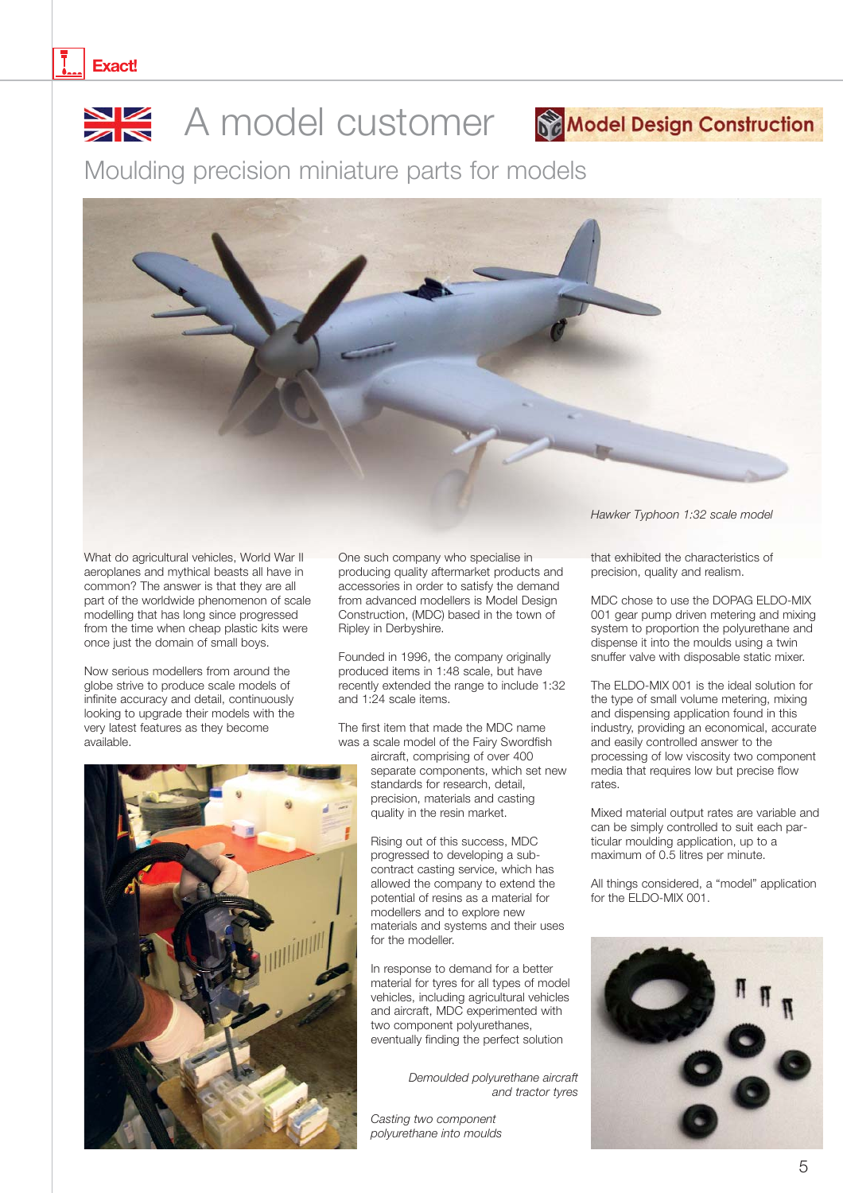

Moulding precision miniature parts for models



What do agricultural vehicles, World War II aeroplanes and mythical beasts all have in common? The answer is that they are all part of the worldwide phenomenon of scale modelling that has long since progressed from the time when cheap plastic kits were once just the domain of small boys.

Now serious modellers from around the globe strive to produce scale models of infinite accuracy and detail, continuously looking to upgrade their models with the very latest features as they become available.

One such company who specialise in producing quality aftermarket products and accessories in order to satisfy the demand from advanced modellers is Model Design Construction, (MDC) based in the town of Ripley in Derbyshire.

Founded in 1996, the company originally produced items in 1:48 scale, but have recently extended the range to include 1:32 and 1:24 scale items.

The first item that made the MDC name was a scale model of the Fairy Swordfish

> aircraft, comprising of over 400 separate components, which set new standards for research, detail, precision, materials and casting quality in the resin market.

Rising out of this success, MDC progressed to developing a subcontract casting service, which has allowed the company to extend the potential of resins as a material for modellers and to explore new materials and systems and their uses for the modeller.

In response to demand for a better material for tyres for all types of model vehicles, including agricultural vehicles and aircraft, MDC experimented with two component polyurethanes, eventually finding the perfect solution

> *Demoulded polyurethane aircraft and tractor tyres*

*Casting two component polyurethane into moulds* *Hawker Typhoon 1:32 scale model*

that exhibited the characteristics of precision, quality and realism.

MDC chose to use the DOPAG ELDO-MIX 001 gear pump driven metering and mixing system to proportion the polyurethane and dispense it into the moulds using a twin snuffer valve with disposable static mixer.

The ELDO-MIX 001 is the ideal solution for the type of small volume metering, mixing and dispensing application found in this industry, providing an economical, accurate and easily controlled answer to the processing of low viscosity two component media that requires low but precise flow rates.

Mixed material output rates are variable and can be simply controlled to suit each particular moulding application, up to a maximum of 0.5 litres per minute.

All things considered, a "model" application for the ELDO-MIX 001.